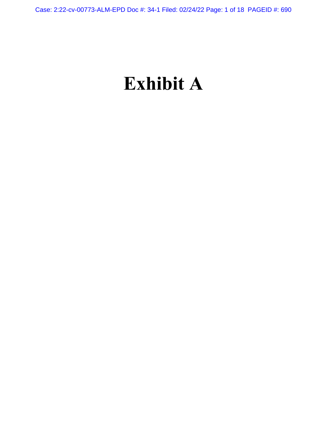# **Exhibit A**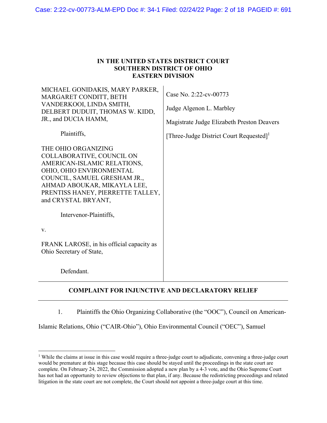Case: 2:22-cv-00773-ALM-EPD Doc #: 34-1 Filed: 02/24/22 Page: 2 of 18 PAGEID #: 691

| IN THE UNITED STATES DISTRICT COURT |
|-------------------------------------|
| <b>SOUTHERN DISTRICT OF OHIO</b>    |
| <b>EASTERN DIVISION</b>             |

| MICHAEL GONIDAKIS, MARY PARKER,<br>MARGARET CONDITT, BETH<br>VANDERKOOI, LINDA SMITH,<br>DELBERT DUDUIT, THOMAS W. KIDD,<br>JR., and DUCIA HAMM,                                                                                       | Case No. 2:22-cv-00773<br>Judge Algenon L. Marbley<br>Magistrate Judge Elizabeth Preston Deavers |
|----------------------------------------------------------------------------------------------------------------------------------------------------------------------------------------------------------------------------------------|--------------------------------------------------------------------------------------------------|
| Plaintiffs,                                                                                                                                                                                                                            | [Three-Judge District Court Requested] <sup>1</sup>                                              |
| THE OHIO ORGANIZING<br>COLLABORATIVE, COUNCIL ON<br>AMERICAN-ISLAMIC RELATIONS,<br>OHIO, OHIO ENVIRONMENTAL<br>COUNCIL, SAMUEL GRESHAM JR.,<br>AHMAD ABOUKAR, MIKAYLA LEE,<br>PRENTISS HANEY, PIERRETTE TALLEY,<br>and CRYSTAL BRYANT, |                                                                                                  |
| Intervenor-Plaintiffs,                                                                                                                                                                                                                 |                                                                                                  |
| V.                                                                                                                                                                                                                                     |                                                                                                  |
| FRANK LAROSE, in his official capacity as<br>Ohio Secretary of State,                                                                                                                                                                  |                                                                                                  |
| Defendant.                                                                                                                                                                                                                             |                                                                                                  |

# **COMPLAINT FOR INJUNCTIVE AND DECLARATORY RELIEF**

1. Plaintiffs the Ohio Organizing Collaborative (the "OOC"), Council on American-

Islamic Relations, Ohio ("CAIR-Ohio"), Ohio Environmental Council ("OEC"), Samuel

 $\overline{a}$ 

<sup>&</sup>lt;sup>1</sup> While the claims at issue in this case would require a three-judge court to adjudicate, convening a three-judge court would be premature at this stage because this case should be stayed until the proceedings in the state court are complete. On February 24, 2022, the Commission adopted a new plan by a 4-3 vote, and the Ohio Supreme Court has not had an opportunity to review objections to that plan, if any. Because the redistricting proceedings and related litigation in the state court are not complete, the Court should not appoint a three-judge court at this time.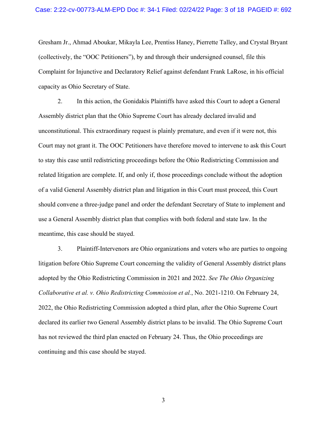## Case: 2:22-cv-00773-ALM-EPD Doc #: 34-1 Filed: 02/24/22 Page: 3 of 18 PAGEID #: 692

Gresham Jr., Ahmad Aboukar, Mikayla Lee, Prentiss Haney, Pierrette Talley, and Crystal Bryant (collectively, the "OOC Petitioners"), by and through their undersigned counsel, file this Complaint for Injunctive and Declaratory Relief against defendant Frank LaRose, in his official capacity as Ohio Secretary of State.

2. In this action, the Gonidakis Plaintiffs have asked this Court to adopt a General Assembly district plan that the Ohio Supreme Court has already declared invalid and unconstitutional. This extraordinary request is plainly premature, and even if it were not, this Court may not grant it. The OOC Petitioners have therefore moved to intervene to ask this Court to stay this case until redistricting proceedings before the Ohio Redistricting Commission and related litigation are complete. If, and only if, those proceedings conclude without the adoption of a valid General Assembly district plan and litigation in this Court must proceed, this Court should convene a three-judge panel and order the defendant Secretary of State to implement and use a General Assembly district plan that complies with both federal and state law. In the meantime, this case should be stayed.

3. Plaintiff-Intervenors are Ohio organizations and voters who are parties to ongoing litigation before Ohio Supreme Court concerning the validity of General Assembly district plans adopted by the Ohio Redistricting Commission in 2021 and 2022. *See The Ohio Organizing Collaborative et al. v. Ohio Redistricting Commission et al.*, No. 2021-1210. On February 24, 2022, the Ohio Redistricting Commission adopted a third plan, after the Ohio Supreme Court declared its earlier two General Assembly district plans to be invalid. The Ohio Supreme Court has not reviewed the third plan enacted on February 24. Thus, the Ohio proceedings are continuing and this case should be stayed.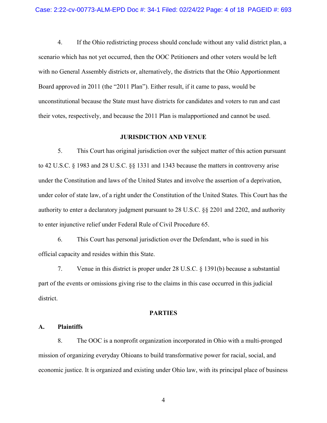4. If the Ohio redistricting process should conclude without any valid district plan, a scenario which has not yet occurred, then the OOC Petitioners and other voters would be left with no General Assembly districts or, alternatively, the districts that the Ohio Apportionment Board approved in 2011 (the "2011 Plan"). Either result, if it came to pass, would be unconstitutional because the State must have districts for candidates and voters to run and cast their votes, respectively, and because the 2011 Plan is malapportioned and cannot be used.

#### **JURISDICTION AND VENUE**

5. This Court has original jurisdiction over the subject matter of this action pursuant to 42 U.S.C. § 1983 and 28 U.S.C. §§ 1331 and 1343 because the matters in controversy arise under the Constitution and laws of the United States and involve the assertion of a deprivation, under color of state law, of a right under the Constitution of the United States. This Court has the authority to enter a declaratory judgment pursuant to 28 U.S.C. §§ 2201 and 2202, and authority to enter injunctive relief under Federal Rule of Civil Procedure 65.

6. This Court has personal jurisdiction over the Defendant, who is sued in his official capacity and resides within this State.

7. Venue in this district is proper under 28 U.S.C. § 1391(b) because a substantial part of the events or omissions giving rise to the claims in this case occurred in this judicial district.

## **PARTIES**

## **A. Plaintiffs**

8. The OOC is a nonprofit organization incorporated in Ohio with a multi-pronged mission of organizing everyday Ohioans to build transformative power for racial, social, and economic justice. It is organized and existing under Ohio law, with its principal place of business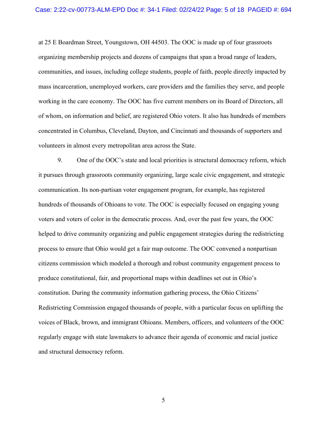at 25 E Boardman Street, Youngstown, OH 44503. The OOC is made up of four grassroots organizing membership projects and dozens of campaigns that span a broad range of leaders, communities, and issues, including college students, people of faith, people directly impacted by mass incarceration, unemployed workers, care providers and the families they serve, and people working in the care economy. The OOC has five current members on its Board of Directors, all of whom, on information and belief, are registered Ohio voters. It also has hundreds of members concentrated in Columbus, Cleveland, Dayton, and Cincinnati and thousands of supporters and volunteers in almost every metropolitan area across the State.

9. One of the OOC's state and local priorities is structural democracy reform, which it pursues through grassroots community organizing, large scale civic engagement, and strategic communication. Its non-partisan voter engagement program, for example, has registered hundreds of thousands of Ohioans to vote. The OOC is especially focused on engaging young voters and voters of color in the democratic process. And, over the past few years, the OOC helped to drive community organizing and public engagement strategies during the redistricting process to ensure that Ohio would get a fair map outcome. The OOC convened a nonpartisan citizens commission which modeled a thorough and robust community engagement process to produce constitutional, fair, and proportional maps within deadlines set out in Ohio's constitution. During the community information gathering process, the Ohio Citizens' Redistricting Commission engaged thousands of people, with a particular focus on uplifting the voices of Black, brown, and immigrant Ohioans. Members, officers, and volunteers of the OOC regularly engage with state lawmakers to advance their agenda of economic and racial justice and structural democracy reform.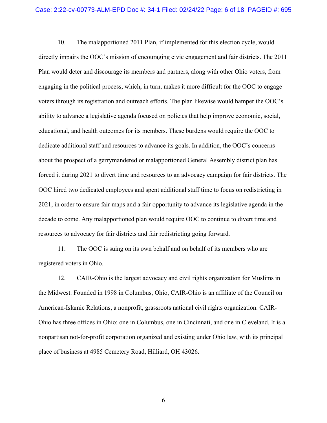10. The malapportioned 2011 Plan, if implemented for this election cycle, would directly impairs the OOC's mission of encouraging civic engagement and fair districts. The 2011 Plan would deter and discourage its members and partners, along with other Ohio voters, from engaging in the political process, which, in turn, makes it more difficult for the OOC to engage voters through its registration and outreach efforts. The plan likewise would hamper the OOC's ability to advance a legislative agenda focused on policies that help improve economic, social, educational, and health outcomes for its members. These burdens would require the OOC to dedicate additional staff and resources to advance its goals. In addition, the OOC's concerns about the prospect of a gerrymandered or malapportioned General Assembly district plan has forced it during 2021 to divert time and resources to an advocacy campaign for fair districts. The OOC hired two dedicated employees and spent additional staff time to focus on redistricting in 2021, in order to ensure fair maps and a fair opportunity to advance its legislative agenda in the decade to come. Any malapportioned plan would require OOC to continue to divert time and resources to advocacy for fair districts and fair redistricting going forward.

11. The OOC is suing on its own behalf and on behalf of its members who are registered voters in Ohio.

12. CAIR-Ohio is the largest advocacy and civil rights organization for Muslims in the Midwest. Founded in 1998 in Columbus, Ohio, CAIR-Ohio is an affiliate of the Council on American-Islamic Relations, a nonprofit, grassroots national civil rights organization. CAIR-Ohio has three offices in Ohio: one in Columbus, one in Cincinnati, and one in Cleveland. It is a nonpartisan not-for-profit corporation organized and existing under Ohio law, with its principal place of business at 4985 Cemetery Road, Hilliard, OH 43026.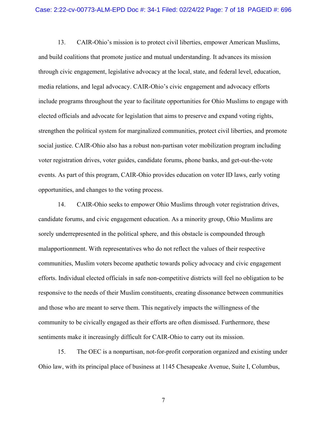13. CAIR-Ohio's mission is to protect civil liberties, empower American Muslims, and build coalitions that promote justice and mutual understanding. It advances its mission through civic engagement, legislative advocacy at the local, state, and federal level, education, media relations, and legal advocacy. CAIR-Ohio's civic engagement and advocacy efforts include programs throughout the year to facilitate opportunities for Ohio Muslims to engage with elected officials and advocate for legislation that aims to preserve and expand voting rights, strengthen the political system for marginalized communities, protect civil liberties, and promote social justice. CAIR-Ohio also has a robust non-partisan voter mobilization program including voter registration drives, voter guides, candidate forums, phone banks, and get-out-the-vote events. As part of this program, CAIR-Ohio provides education on voter ID laws, early voting opportunities, and changes to the voting process.

14. CAIR-Ohio seeks to empower Ohio Muslims through voter registration drives, candidate forums, and civic engagement education. As a minority group, Ohio Muslims are sorely underrepresented in the political sphere, and this obstacle is compounded through malapportionment. With representatives who do not reflect the values of their respective communities, Muslim voters become apathetic towards policy advocacy and civic engagement efforts. Individual elected officials in safe non-competitive districts will feel no obligation to be responsive to the needs of their Muslim constituents, creating dissonance between communities and those who are meant to serve them. This negatively impacts the willingness of the community to be civically engaged as their efforts are often dismissed. Furthermore, these sentiments make it increasingly difficult for CAIR-Ohio to carry out its mission.

15. The OEC is a nonpartisan, not-for-profit corporation organized and existing under Ohio law, with its principal place of business at 1145 Chesapeake Avenue, Suite I, Columbus,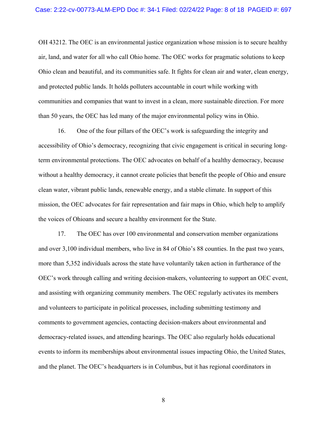OH 43212. The OEC is an environmental justice organization whose mission is to secure healthy air, land, and water for all who call Ohio home. The OEC works for pragmatic solutions to keep Ohio clean and beautiful, and its communities safe. It fights for clean air and water, clean energy, and protected public lands. It holds polluters accountable in court while working with communities and companies that want to invest in a clean, more sustainable direction. For more than 50 years, the OEC has led many of the major environmental policy wins in Ohio.

16. One of the four pillars of the OEC's work is safeguarding the integrity and accessibility of Ohio's democracy, recognizing that civic engagement is critical in securing longterm environmental protections. The OEC advocates on behalf of a healthy democracy, because without a healthy democracy, it cannot create policies that benefit the people of Ohio and ensure clean water, vibrant public lands, renewable energy, and a stable climate. In support of this mission, the OEC advocates for fair representation and fair maps in Ohio, which help to amplify the voices of Ohioans and secure a healthy environment for the State.

17. The OEC has over 100 environmental and conservation member organizations and over 3,100 individual members, who live in 84 of Ohio's 88 counties. In the past two years, more than 5,352 individuals across the state have voluntarily taken action in furtherance of the OEC's work through calling and writing decision-makers, volunteering to support an OEC event, and assisting with organizing community members. The OEC regularly activates its members and volunteers to participate in political processes, including submitting testimony and comments to government agencies, contacting decision-makers about environmental and democracy-related issues, and attending hearings. The OEC also regularly holds educational events to inform its memberships about environmental issues impacting Ohio, the United States, and the planet. The OEC's headquarters is in Columbus, but it has regional coordinators in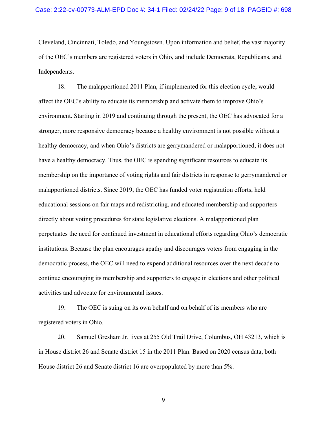Cleveland, Cincinnati, Toledo, and Youngstown. Upon information and belief, the vast majority of the OEC's members are registered voters in Ohio, and include Democrats, Republicans, and Independents.

18. The malapportioned 2011 Plan, if implemented for this election cycle, would affect the OEC's ability to educate its membership and activate them to improve Ohio's environment. Starting in 2019 and continuing through the present, the OEC has advocated for a stronger, more responsive democracy because a healthy environment is not possible without a healthy democracy, and when Ohio's districts are gerrymandered or malapportioned, it does not have a healthy democracy. Thus, the OEC is spending significant resources to educate its membership on the importance of voting rights and fair districts in response to gerrymandered or malapportioned districts. Since 2019, the OEC has funded voter registration efforts, held educational sessions on fair maps and redistricting, and educated membership and supporters directly about voting procedures for state legislative elections. A malapportioned plan perpetuates the need for continued investment in educational efforts regarding Ohio's democratic institutions. Because the plan encourages apathy and discourages voters from engaging in the democratic process, the OEC will need to expend additional resources over the next decade to continue encouraging its membership and supporters to engage in elections and other political activities and advocate for environmental issues.

19. The OEC is suing on its own behalf and on behalf of its members who are registered voters in Ohio.

20. Samuel Gresham Jr. lives at 255 Old Trail Drive, Columbus, OH 43213, which is in House district 26 and Senate district 15 in the 2011 Plan. Based on 2020 census data, both House district 26 and Senate district 16 are overpopulated by more than 5%.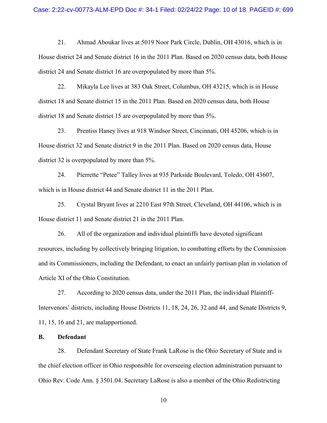#### Case: 2:22-cv-00773-ALM-EPD Doc #: 34-1 Filed: 02/24/22 Page: 10 of 18 PAGEID #: 699

21. Ahmad Aboukar lives at 5019 Noor Park Circle, Dublin, OH 43016, which is in House district 24 and Senate district 16 in the 2011 Plan. Based on 2020 census data, both House district 24 and Senate district 16 are overpopulated by more than 5%.

22. Mikayla Lee lives at 383 Oak Street, Columbus, OH 43215, which is in House district 18 and Senate district 15 in the 2011 Plan. Based on 2020 census data, both House district 18 and Senate district 15 are overpopulated by more than 5%.

23. Prentiss Haney lives at 918 Windsor Street, Cincinnati, OH 45206, which is in House district 32 and Senate district 9 in the 2011 Plan. Based on 2020 census data, House district 32 is overpopulated by more than 5%.

24. Pierrette "Petee" Talley lives at 935 Parkside Boulevard, Toledo, OH 43607, which is in House district 44 and Senate district 11 in the 2011 Plan.

25. Crystal Bryant lives at 2210 East 97th Street, Cleveland, OH 44106, which is in House district 11 and Senate district 21 in the 2011 Plan.

26. All of the organization and individual plaintiffs have devoted significant resources, including by collectively bringing litigation, to combatting efforts by the Commission and its Commissioners, including the Defendant, to enact an unfairly partisan plan in violation of Article XI of the Ohio Constitution.

27. According to 2020 census data, under the 2011 Plan, the individual Plaintiff-Intervenors' districts, including House Districts 11, 18, 24, 26, 32 and 44, and Senate Districts 9, 11, 15, 16 and 21, are malapportioned.

## **B. Defendant**

28. Defendant Secretary of State Frank LaRose is the Ohio Secretary of State and is the chief election officer in Ohio responsible for overseeing election administration pursuant to Ohio Rev. Code Ann. § 3501.04. Secretary LaRose is also a member of the Ohio Redistricting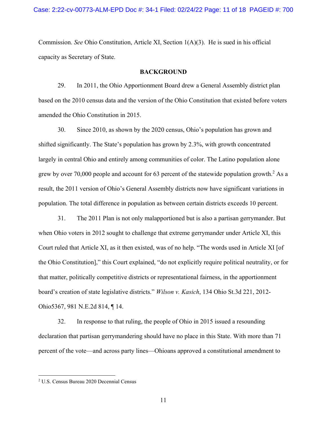Commission. *See* Ohio Constitution, Article XI, Section 1(A)(3). He is sued in his official capacity as Secretary of State.

## **BACKGROUND**

29. In 2011, the Ohio Apportionment Board drew a General Assembly district plan based on the 2010 census data and the version of the Ohio Constitution that existed before voters amended the Ohio Constitution in 2015.

30. Since 2010, as shown by the 2020 census, Ohio's population has grown and shifted significantly. The State's population has grown by 2.3%, with growth concentrated largely in central Ohio and entirely among communities of color. The Latino population alone grew by over 70,000 people and account for 63 percent of the statewide population growth.<sup>2</sup> As a result, the 2011 version of Ohio's General Assembly districts now have significant variations in population. The total difference in population as between certain districts exceeds 10 percent.

31. The 2011 Plan is not only malapportioned but is also a partisan gerrymander. But when Ohio voters in 2012 sought to challenge that extreme gerrymander under Article XI, this Court ruled that Article XI, as it then existed, was of no help. "The words used in Article XI [of the Ohio Constitution]," this Court explained, "do not explicitly require political neutrality, or for that matter, politically competitive districts or representational fairness, in the apportionment board's creation of state legislative districts." *Wilson v. Kasich*, 134 Ohio St.3d 221, 2012- Ohio5367, 981 N.E.2d 814, ¶ 14.

32. In response to that ruling, the people of Ohio in 2015 issued a resounding declaration that partisan gerrymandering should have no place in this State. With more than 71 percent of the vote—and across party lines—Ohioans approved a constitutional amendment to

<sup>2</sup> U.S. Census Bureau 2020 Decennial Census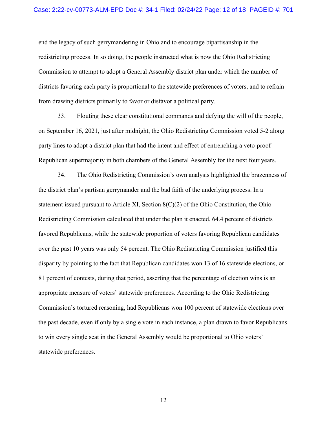#### Case: 2:22-cv-00773-ALM-EPD Doc #: 34-1 Filed: 02/24/22 Page: 12 of 18 PAGEID #: 701

end the legacy of such gerrymandering in Ohio and to encourage bipartisanship in the redistricting process. In so doing, the people instructed what is now the Ohio Redistricting Commission to attempt to adopt a General Assembly district plan under which the number of districts favoring each party is proportional to the statewide preferences of voters, and to refrain from drawing districts primarily to favor or disfavor a political party.

33. Flouting these clear constitutional commands and defying the will of the people, on September 16, 2021, just after midnight, the Ohio Redistricting Commission voted 5-2 along party lines to adopt a district plan that had the intent and effect of entrenching a veto-proof Republican supermajority in both chambers of the General Assembly for the next four years.

34. The Ohio Redistricting Commission's own analysis highlighted the brazenness of the district plan's partisan gerrymander and the bad faith of the underlying process. In a statement issued pursuant to Article XI, Section 8(C)(2) of the Ohio Constitution, the Ohio Redistricting Commission calculated that under the plan it enacted, 64.4 percent of districts favored Republicans, while the statewide proportion of voters favoring Republican candidates over the past 10 years was only 54 percent. The Ohio Redistricting Commission justified this disparity by pointing to the fact that Republican candidates won 13 of 16 statewide elections, or 81 percent of contests, during that period, asserting that the percentage of election wins is an appropriate measure of voters' statewide preferences. According to the Ohio Redistricting Commission's tortured reasoning, had Republicans won 100 percent of statewide elections over the past decade, even if only by a single vote in each instance, a plan drawn to favor Republicans to win every single seat in the General Assembly would be proportional to Ohio voters' statewide preferences.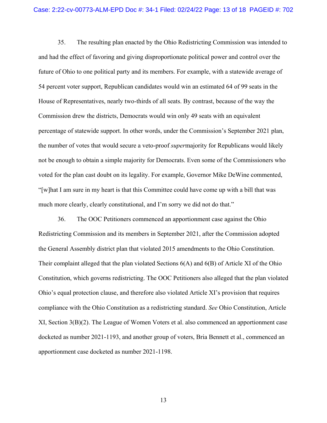35. The resulting plan enacted by the Ohio Redistricting Commission was intended to and had the effect of favoring and giving disproportionate political power and control over the future of Ohio to one political party and its members. For example, with a statewide average of 54 percent voter support, Republican candidates would win an estimated 64 of 99 seats in the House of Representatives, nearly two-thirds of all seats. By contrast, because of the way the Commission drew the districts, Democrats would win only 49 seats with an equivalent percentage of statewide support. In other words, under the Commission's September 2021 plan, the number of votes that would secure a veto-proof *super*majority for Republicans would likely not be enough to obtain a simple majority for Democrats. Even some of the Commissioners who voted for the plan cast doubt on its legality. For example, Governor Mike DeWine commented, "[w]hat I am sure in my heart is that this Committee could have come up with a bill that was much more clearly, clearly constitutional, and I'm sorry we did not do that."

36. The OOC Petitioners commenced an apportionment case against the Ohio Redistricting Commission and its members in September 2021, after the Commission adopted the General Assembly district plan that violated 2015 amendments to the Ohio Constitution. Their complaint alleged that the plan violated Sections  $6(A)$  and  $6(B)$  of Article XI of the Ohio Constitution, which governs redistricting. The OOC Petitioners also alleged that the plan violated Ohio's equal protection clause, and therefore also violated Article XI's provision that requires compliance with the Ohio Constitution as a redistricting standard. *See* Ohio Constitution, Article XI, Section 3(B)(2). The League of Women Voters et al. also commenced an apportionment case docketed as number 2021-1193, and another group of voters, Bria Bennett et al., commenced an apportionment case docketed as number 2021-1198.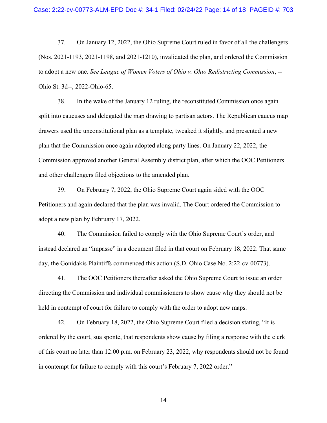37. On January 12, 2022, the Ohio Supreme Court ruled in favor of all the challengers (Nos. 2021-1193, 2021-1198, and 2021-1210), invalidated the plan, and ordered the Commission to adopt a new one. *See League of Women Voters of Ohio v. Ohio Redistricting Commission*, -- Ohio St. 3d--, 2022-Ohio-65.

38. In the wake of the January 12 ruling, the reconstituted Commission once again split into caucuses and delegated the map drawing to partisan actors. The Republican caucus map drawers used the unconstitutional plan as a template, tweaked it slightly, and presented a new plan that the Commission once again adopted along party lines. On January 22, 2022, the Commission approved another General Assembly district plan, after which the OOC Petitioners and other challengers filed objections to the amended plan.

39. On February 7, 2022, the Ohio Supreme Court again sided with the OOC Petitioners and again declared that the plan was invalid. The Court ordered the Commission to adopt a new plan by February 17, 2022.

40. The Commission failed to comply with the Ohio Supreme Court's order, and instead declared an "impasse" in a document filed in that court on February 18, 2022. That same day, the Gonidakis Plaintiffs commenced this action (S.D. Ohio Case No. 2:22-cv-00773).

41. The OOC Petitioners thereafter asked the Ohio Supreme Court to issue an order directing the Commission and individual commissioners to show cause why they should not be held in contempt of court for failure to comply with the order to adopt new maps.

42. On February 18, 2022, the Ohio Supreme Court filed a decision stating, "It is ordered by the court, sua sponte, that respondents show cause by filing a response with the clerk of this court no later than 12:00 p.m. on February 23, 2022, why respondents should not be found in contempt for failure to comply with this court's February 7, 2022 order."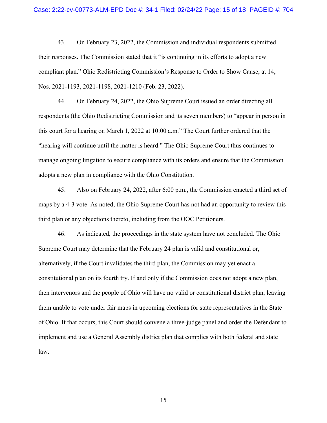43. On February 23, 2022, the Commission and individual respondents submitted their responses. The Commission stated that it "is continuing in its efforts to adopt a new compliant plan." Ohio Redistricting Commission's Response to Order to Show Cause, at 14, Nos. 2021-1193, 2021-1198, 2021-1210 (Feb. 23, 2022).

44. On February 24, 2022, the Ohio Supreme Court issued an order directing all respondents (the Ohio Redistricting Commission and its seven members) to "appear in person in this court for a hearing on March 1, 2022 at 10:00 a.m." The Court further ordered that the "hearing will continue until the matter is heard." The Ohio Supreme Court thus continues to manage ongoing litigation to secure compliance with its orders and ensure that the Commission adopts a new plan in compliance with the Ohio Constitution.

45. Also on February 24, 2022, after 6:00 p.m., the Commission enacted a third set of maps by a 4-3 vote. As noted, the Ohio Supreme Court has not had an opportunity to review this third plan or any objections thereto, including from the OOC Petitioners.

46. As indicated, the proceedings in the state system have not concluded. The Ohio Supreme Court may determine that the February 24 plan is valid and constitutional or, alternatively, if the Court invalidates the third plan, the Commission may yet enact a constitutional plan on its fourth try. If and only if the Commission does not adopt a new plan, then intervenors and the people of Ohio will have no valid or constitutional district plan, leaving them unable to vote under fair maps in upcoming elections for state representatives in the State of Ohio. If that occurs, this Court should convene a three-judge panel and order the Defendant to implement and use a General Assembly district plan that complies with both federal and state law.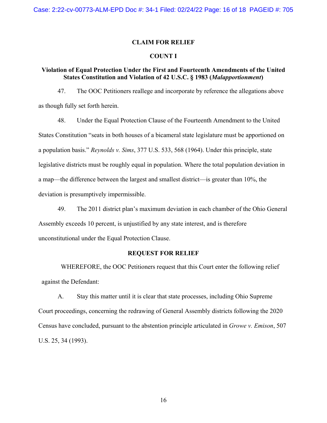## **CLAIM FOR RELIEF**

# **COUNT I**

## **Violation of Equal Protection Under the First and Fourteenth Amendments of the United States Constitution and Violation of 42 U.S.C. § 1983 (***Malapportionment***)**

47. The OOC Petitioners reallege and incorporate by reference the allegations above as though fully set forth herein.

48. Under the Equal Protection Clause of the Fourteenth Amendment to the United States Constitution "seats in both houses of a bicameral state legislature must be apportioned on a population basis." *Reynolds v. Sims*, 377 U.S. 533, 568 (1964). Under this principle, state legislative districts must be roughly equal in population. Where the total population deviation in a map—the difference between the largest and smallest district—is greater than 10%, the deviation is presumptively impermissible.

49. The 2011 district plan's maximum deviation in each chamber of the Ohio General Assembly exceeds 10 percent, is unjustified by any state interest, and is therefore unconstitutional under the Equal Protection Clause.

## **REQUEST FOR RELIEF**

WHEREFORE, the OOC Petitioners request that this Court enter the following relief against the Defendant:

A. Stay this matter until it is clear that state processes, including Ohio Supreme Court proceedings, concerning the redrawing of General Assembly districts following the 2020 Census have concluded, pursuant to the abstention principle articulated in *Growe v. Emison*, 507 U.S. 25, 34 (1993).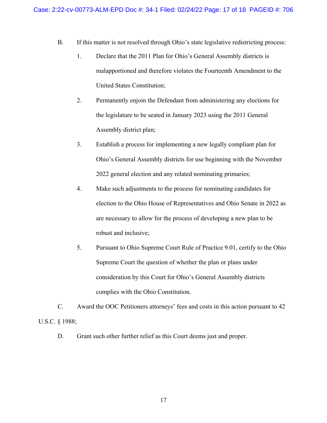- B. If this matter is not resolved through Ohio's state legislative redistricting process:
	- 1. Declare that the 2011 Plan for Ohio's General Assembly districts is malapportioned and therefore violates the Fourteenth Amendment to the United States Constitution;
	- 2. Permanently enjoin the Defendant from administering any elections for the legislature to be seated in January 2023 using the 2011 General Assembly district plan;
	- 3. Establish a process for implementing a new legally compliant plan for Ohio's General Assembly districts for use beginning with the November 2022 general election and any related nominating primaries;
	- 4. Make such adjustments to the process for nominating candidates for election to the Ohio House of Representatives and Ohio Senate in 2022 as are necessary to allow for the process of developing a new plan to be robust and inclusive;
	- 5. Pursuant to Ohio Supreme Court Rule of Practice 9.01, certify to the Ohio Supreme Court the question of whether the plan or plans under consideration by this Court for Ohio's General Assembly districts complies with the Ohio Constitution.

C. Award the OOC Petitioners attorneys' fees and costs in this action pursuant to 42 U.S.C. § 1988;

D. Grant such other further relief as this Court deems just and proper.